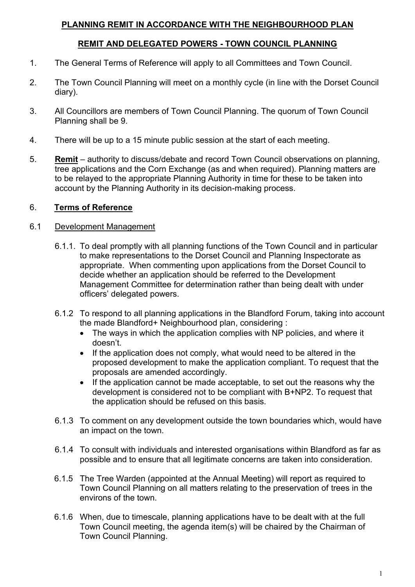## **PLANNING REMIT IN ACCORDANCE WITH THE NEIGHBOURHOOD PLAN**

## **REMIT AND DELEGATED POWERS - TOWN COUNCIL PLANNING**

- 1. The General Terms of Reference will apply to all Committees and Town Council.
- 2. The Town Council Planning will meet on a monthly cycle (in line with the Dorset Council diary).
- 3. All Councillors are members of Town Council Planning. The quorum of Town Council Planning shall be 9.
- 4. There will be up to a 15 minute public session at the start of each meeting.
- 5. **Remit** authority to discuss/debate and record Town Council observations on planning, tree applications and the Corn Exchange (as and when required). Planning matters are to be relayed to the appropriate Planning Authority in time for these to be taken into account by the Planning Authority in its decision-making process.

## 6. **Terms of Reference**

### 6.1 Development Management

- 6.1.1. To deal promptly with all planning functions of the Town Council and in particular to make representations to the Dorset Council and Planning Inspectorate as appropriate. When commenting upon applications from the Dorset Council to decide whether an application should be referred to the Development Management Committee for determination rather than being dealt with under officers' delegated powers.
- 6.1.2 To respond to all planning applications in the Blandford Forum, taking into account the made Blandford+ Neighbourhood plan, considering :
	- The ways in which the application complies with NP policies, and where it doesn't.
	- If the application does not comply, what would need to be altered in the proposed development to make the application compliant. To request that the proposals are amended accordingly.
	- If the application cannot be made acceptable, to set out the reasons why the development is considered not to be compliant with B+NP2. To request that the application should be refused on this basis.
- 6.1.3 To comment on any development outside the town boundaries which, would have an impact on the town.
- 6.1.4 To consult with individuals and interested organisations within Blandford as far as possible and to ensure that all legitimate concerns are taken into consideration.
- 6.1.5 The Tree Warden (appointed at the Annual Meeting) will report as required to Town Council Planning on all matters relating to the preservation of trees in the environs of the town.
- 6.1.6 When, due to timescale, planning applications have to be dealt with at the full Town Council meeting, the agenda item(s) will be chaired by the Chairman of Town Council Planning.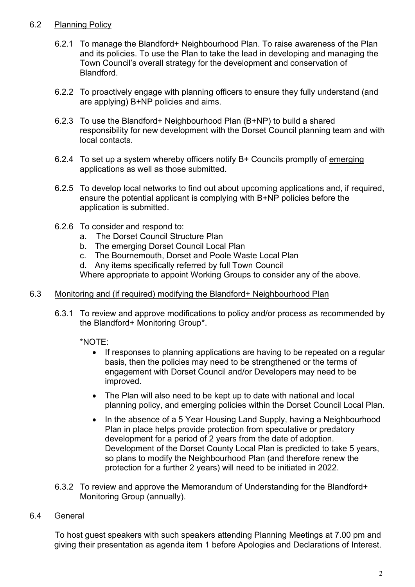## 6.2 Planning Policy

- 6.2.1 To manage the Blandford+ Neighbourhood Plan. To raise awareness of the Plan and its policies. To use the Plan to take the lead in developing and managing the Town Council's overall strategy for the development and conservation of Blandford.
- 6.2.2 To proactively engage with planning officers to ensure they fully understand (and are applying) B+NP policies and aims.
- 6.2.3 To use the Blandford+ Neighbourhood Plan (B+NP) to build a shared responsibility for new development with the Dorset Council planning team and with local contacts.
- 6.2.4 To set up a system whereby officers notify B+ Councils promptly of emerging applications as well as those submitted.
- 6.2.5 To develop local networks to find out about upcoming applications and, if required, ensure the potential applicant is complying with B+NP policies before the application is submitted.
- 6.2.6 To consider and respond to:
	- a. The Dorset Council Structure Plan
	- b. The emerging Dorset Council Local Plan
	- c. The Bournemouth, Dorset and Poole Waste Local Plan
	- d. Any items specifically referred by full Town Council

Where appropriate to appoint Working Groups to consider any of the above.

## 6.3 Monitoring and (if required) modifying the Blandford+ Neighbourhood Plan

6.3.1 To review and approve modifications to policy and/or process as recommended by the Blandford+ Monitoring Group\*.

\*NOTE:

- If responses to planning applications are having to be repeated on a regular basis, then the policies may need to be strengthened or the terms of engagement with Dorset Council and/or Developers may need to be improved.
- The Plan will also need to be kept up to date with national and local planning policy, and emerging policies within the Dorset Council Local Plan.
- In the absence of a 5 Year Housing Land Supply, having a Neighbourhood Plan in place helps provide protection from speculative or predatory development for a period of 2 years from the date of adoption. Development of the Dorset County Local Plan is predicted to take 5 years, so plans to modify the Neighbourhood Plan (and therefore renew the protection for a further 2 years) will need to be initiated in 2022.
- 6.3.2 To review and approve the Memorandum of Understanding for the Blandford+ Monitoring Group (annually).

# 6.4 General

To host guest speakers with such speakers attending Planning Meetings at 7.00 pm and giving their presentation as agenda item 1 before Apologies and Declarations of Interest.